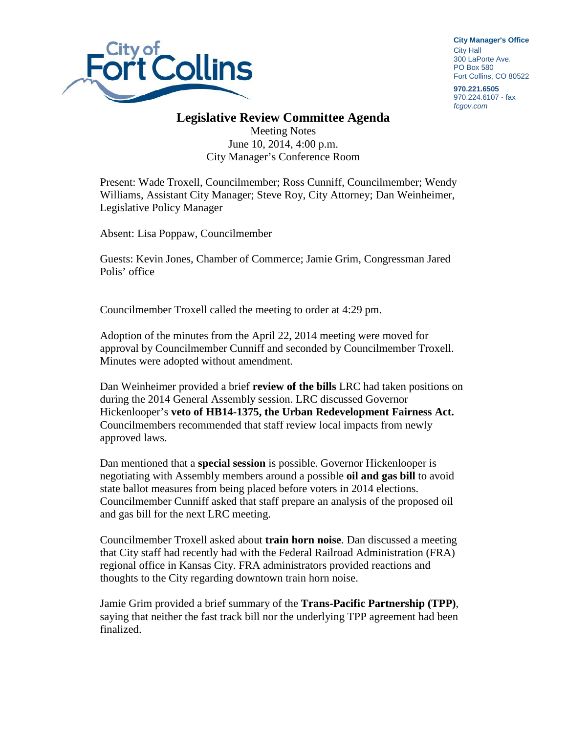

**City Manager**'**s Office** City Hall 300 LaPorte Ave. PO Box 580 Fort Collins, CO 80522

**970.221.6505** 970.224.6107 - fax *fcgov.com*

## **Legislative Review Committee Agenda**

Meeting Notes June 10, 2014, 4:00 p.m. City Manager's Conference Room

Present: Wade Troxell, Councilmember; Ross Cunniff, Councilmember; Wendy Williams, Assistant City Manager; Steve Roy, City Attorney; Dan Weinheimer, Legislative Policy Manager

Absent: Lisa Poppaw, Councilmember

Guests: Kevin Jones, Chamber of Commerce; Jamie Grim, Congressman Jared Polis' office

Councilmember Troxell called the meeting to order at 4:29 pm.

Adoption of the minutes from the April 22, 2014 meeting were moved for approval by Councilmember Cunniff and seconded by Councilmember Troxell. Minutes were adopted without amendment.

Dan Weinheimer provided a brief **review of the bills** LRC had taken positions on during the 2014 General Assembly session. LRC discussed Governor Hickenlooper's **veto of HB14-1375, the Urban Redevelopment Fairness Act.** Councilmembers recommended that staff review local impacts from newly approved laws.

Dan mentioned that a **special session** is possible. Governor Hickenlooper is negotiating with Assembly members around a possible **oil and gas bill** to avoid state ballot measures from being placed before voters in 2014 elections. Councilmember Cunniff asked that staff prepare an analysis of the proposed oil and gas bill for the next LRC meeting.

Councilmember Troxell asked about **train horn noise**. Dan discussed a meeting that City staff had recently had with the Federal Railroad Administration (FRA) regional office in Kansas City. FRA administrators provided reactions and thoughts to the City regarding downtown train horn noise.

Jamie Grim provided a brief summary of the **Trans-Pacific Partnership (TPP)**, saying that neither the fast track bill nor the underlying TPP agreement had been finalized.